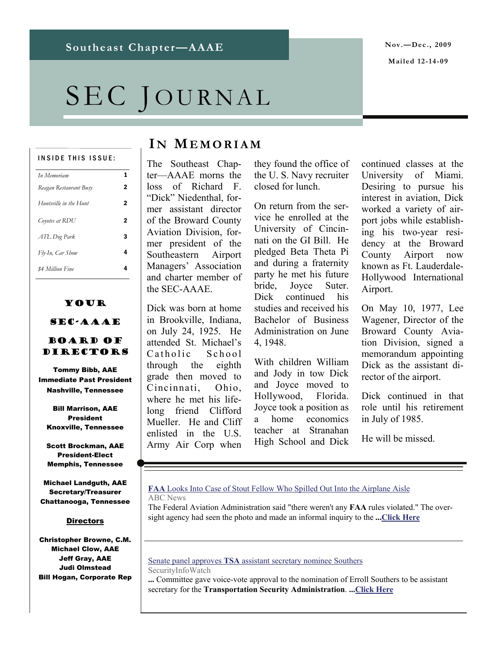# SEC JOURNAL

#### INSIDE THIS ISSUE:

| In Memoriam            | 1 |
|------------------------|---|
| Reagan Restaurant Busy | 2 |
| Huntsville in the Hunt | 2 |
| Coyotes at RDU         | 2 |
| ATL Dog Park           | 3 |
| Fly-In, Car Show       | 4 |
| \$4 Million Fine       |   |

## Your

## SEC-AAAE

## Board of DIRECTORS

Tommy Bibb, AAE Immediate Past President Nashville, Tennessee

Bill Marrison, AAE President Knoxville, Tennessee

Scott Brockman, AAE President-Elect Memphis, Tennessee

Michael Landguth, AAE Secretary/Treasurer Chattanooga, Tennessee

## **Directors**

Christopher Browne, C.M. Michael Clow, AAE Jeff Gray, AAE Judi Olmstead Bill Hogan, Corporate Rep

# **I N MEMORIAM**

The Southeast Chapter—AAAE morns the loss of Richard F. "Dick" Niedenthal, former assistant director of the Broward County Aviation Division, former president of the Southeastern Airport Managers' Association and charter member of the SEC-AAAE.

Dick was born at home in Brookville, Indiana, on July 24, 1925. He attended St. Michael's Catholic School through the eighth grade then moved to Cincinnati, Ohio, where he met his lifelong friend Clifford Mueller. He and Cliff enlisted in the U.S. Army Air Corp when

they found the office of the U. S. Navy recruiter closed for lunch.

On return from the service he enrolled at the University of Cincinnati on the GI Bill. He pledged Beta Theta Pi and during a fraternity party he met his future bride, Joyce Suter. Dick continued his studies and received his Bachelor of Business Administration on June 4, 1948.

With children William and Jody in tow Dick and Joyce moved to Hollywood, Florida. Joyce took a position as a home economics teacher at Stranahan High School and Dick continued classes at the University of Miami. Desiring to pursue his interest in aviation, Dick worked a variety of airport jobs while establishing his two-year residency at the Broward County Airport now known as Ft. Lauderdale-Hollywood International Airport.

On May 10, 1977, Lee Wagener, Director of the Broward County Aviation Division, signed a memorandum appointing Dick as the assistant director of the airport.

Dick continued in that role until his retirement in July of 1985.

He will be missed.

#### **FAA** [Looks Into Case of Stout Fellow Who Spilled Out Into the Airplane Aisle](http://www.google.com/url?sa=X&q=http://abcnews.go.com/Travel/BusinessTraveler/obese-passengers-fat-fat-fly-american-airlines/story%3Fid%3D9249954&ct=ga&cd=887IAIFr6po&usg=AFQjCNF6_tz3a3bbpiwBSml3UFqx4XwVYg) ABC News

The Federal Aviation Administration said "there weren't any **FAA** rules violated." The oversight agency had seen the photo and made an informal inquiry to the **...[Click Here](http://abcnews.go.com/Travel/BusinessTraveler/obese-passengers-fat-fat-fly-american-airlines/story?id=9249954)**

Senate panel approves **TSA** [assistant secretary nominee Southers](http://www.google.com/url?sa=X&q=http://www.securityinfowatch.com/Executives/1314000&ct=ga&cd=PqnqWdDurzQ&usg=AFQjCNH3zd6hlkAefMb8D0w_9LBQwXXzog) SecurityInfoWatch

**...** Committee gave voice-vote approval to the nomination of Erroll Southers to be assistant secretary for the **Transportation Security Administration**. **...[Click Here](http://www.securityinfowatch.com/Executives/1314000)**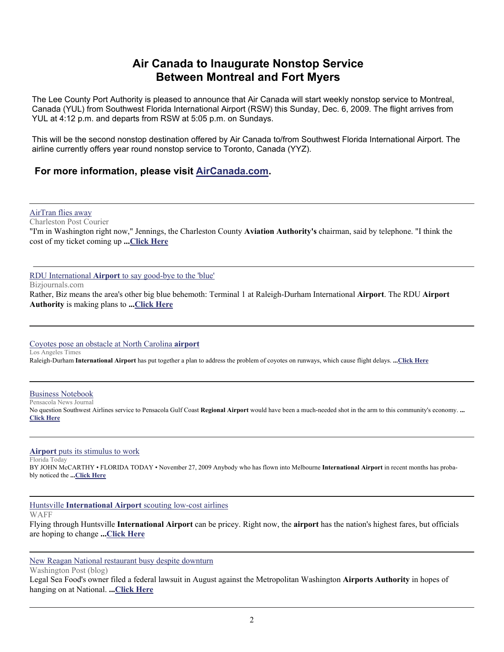# **Air Canada to Inaugurate Nonstop Service Between Montreal and Fort Myers**

The Lee County Port Authority is pleased to announce that Air Canada will start weekly nonstop service to Montreal, Canada (YUL) from Southwest Florida International Airport (RSW) this Sunday, Dec. 6, 2009. The flight arrives from YUL at 4:12 p.m. and departs from RSW at 5:05 p.m. on Sundays.

This will be the second nonstop destination offered by Air Canada to/from Southwest Florida International Airport. The airline currently offers year round nonstop service to Toronto, Canada (YYZ).

## **For more information, please visit [AirCanada.com.](http://www.aircanada.com/)**

[AirTran flies away](http://www.google.com/url?sa=X&q=http://www.postandcourier.com/news/2009/dec/04/airtran-flies-away/&ct=ga&cd=h_QhbqaOhT8&usg=AFQjCNFMwGd5-ZPN44QQL8YUA7XVKETwpg)

Charleston Post Courier "I'm in Washington right now," Jennings, the Charleston County **Aviation Authority's** chairman, said by telephone. "I think the cost of my ticket coming up **...[Click Here](http://www.postandcourier.com/news/2009/dec/04/airtran-flies-away/)**

RDU International **Airport** [to say good-bye to the 'blue'](http://www.google.com/url?sa=X&q=http://www.bizjournals.com/triangle/stories/2009/11/30/daily72.html&ct=ga&cd=JlcDic4gvRw&usg=AFQjCNEA5n3w4gDQldeVDIZhd6okl8MgaA)

Bizjournals.com

Rather, Biz means the area's other big blue behemoth: Terminal 1 at Raleigh-Durham International **Airport**. The RDU **Airport Authority** is making plans to **...[Click Here](http://triangle.bizjournals.com/triangle/stories/2009/11/30/daily72.html)**

## [Coyotes pose an obstacle at North Carolina](http://www.google.com/url?sa=X&q=http://www.latimes.com/news/nation-and-world/la-na-coyotes-airport27-2009nov27,0,7766795.story&ct=ga&cd=pBcROOdxrSU&usg=AFQjCNHaCRTKRu4IkurhrmGwL75WGCPe1A) **airport**

Los Angeles Times

Raleigh-Durham **International Airport** has put together a plan to address the problem of coyotes on runways, which cause flight delays. **...[Click Here](http://www.latimes.com/news/nation-and-world/la-na-coyotes-airport27-2009nov27,0,7766795.story)**

**[Business Notebook](http://www.google.com/url?sa=X&q=http://www.pnj.com/article/20091127/BUSINESSJOURNAL/911270302/Business-Notebook&ct=ga&cd=ABeMO5nJuQM&usg=AFQjCNGbZwsruUvtZKs65GV257TNUo6PJw)** Pensacola News Journal

No question Southwest Airlines service to Pensacola Gulf Coast **Regional Airport** would have been a much-needed shot in the arm to this community's economy. **... [Click Here](http://www.pnj.com/article/20091127/BUSINESSJOURNAL/911270302/Business-Notebook)**

**Airport** [puts its stimulus to work](http://www.google.com/url?sa=X&q=http://www.floridatoday.com/article/20091127/BUSINESS/911270313/1006/NEWS01/Airport%2Bputs%2Bits%2Bstimulus%2Bto%2Bwork&ct=ga&cd=sKm5iE6l3oI&usg=AFQjCNHZkirMVrE8Z8_3KomGkc9DuxVerA)

Florida Today BY JOHN McCARTHY • FLORIDA TODAY • November 27, 2009 Anybody who has flown into Melbourne **International Airport** in recent months has probably noticed the **...[Click Here](http://www.floridatoday.com/article/20091127/BUSINESS/911270313/1006/NEWS01/Airport+puts+its+stimulus+to+work)**

Huntsville **International Airport** [scouting low-cost airlines](http://www.google.com/url?sa=X&q=http://www.waff.com/Global/story.asp%3FS%3D11599692&ct=ga&cd=Q9S6FJx2vZo&usg=AFQjCNFzNw0J81DTh__FoJ9_PGlHlVaJEQ)

WAFF

Flying through Huntsville **International Airport** can be pricey. Right now, the **airport** has the nation's highest fares, but officials are hoping to change **...[Click Here](http://www.waff.com/Global/story.asp?S=11599692)**

[New Reagan National restaurant busy despite downturn](http://www.google.com/url?sa=X&q=http://www.washingtonpost.com/wp-dyn/content/blog/2009/12/02/BL2009120202535.html&ct=ga&cd=uzB7Pay3tU4&usg=AFQjCNHglZ5l7TnKvC-8nFga0pcbHXA1lw)

Washington Post (blog)

Legal Sea Food's owner filed a federal lawsuit in August against the Metropolitan Washington **Airports Authority** in hopes of hanging on at National. **...Click Here**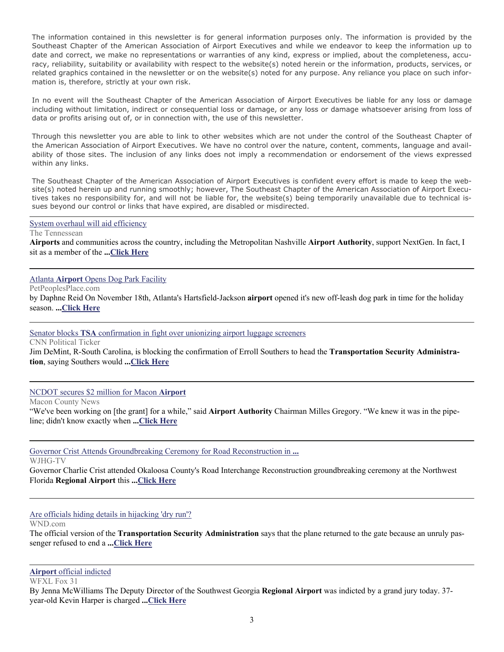The information contained in this newsletter is for general information purposes only. The information is provided by the Southeast Chapter of the American Association of Airport Executives and while we endeavor to keep the information up to date and correct, we make no representations or warranties of any kind, express or implied, about the completeness, accuracy, reliability, suitability or availability with respect to the website(s) noted herein or the information, products, services, or related graphics contained in the newsletter or on the website(s) noted for any purpose. Any reliance you place on such information is, therefore, strictly at your own risk.

In no event will the Southeast Chapter of the American Association of Airport Executives be liable for any loss or damage including without limitation, indirect or consequential loss or damage, or any loss or damage whatsoever arising from loss of data or profits arising out of, or in connection with, the use of this newsletter.

Through this newsletter you are able to link to other websites which are not under the control of the Southeast Chapter of the American Association of Airport Executives. We have no control over the nature, content, comments, language and availability of those sites. The inclusion of any links does not imply a recommendation or endorsement of the views expressed within any links.

The Southeast Chapter of the American Association of Airport Executives is confident every effort is made to keep the website(s) noted herein up and running smoothly; however, The Southeast Chapter of the American Association of Airport Executives takes no responsibility for, and will not be liable for, the website(s) being temporarily unavailable due to technical issues beyond our control or links that have expired, are disabled or misdirected.

#### [System overhaul will aid efficiency](http://www.google.com/url?sa=X&q=http://www.tennessean.com/article/20091203/OPINION01/912030345/1008&ct=ga&cd=Hc9E13YvncM&usg=AFQjCNE1JLVpICnDBHQlH9SP0yWXGBc1OA)

The Tennessean **Airports** and communities across the country, including the Metropolitan Nashville **Airport Authority**, support NextGen. In fact, I sit as a member of the **...[Click Here](http://www.tennessean.com/article/20091203/OPINION01/912030345/1008)**

## Atlanta **Airport** [Opens Dog Park Facility](http://www.google.com/url?sa=X&q=http://www.petpeoplesplace.com/resources/news/dogs/atlanta-airport-opens-dog-park-facility.htm&ct=ga&cd=gZeg8igz_u0&usg=AFQjCNGvAFbFbxQDGUg9vlZDA41sbsFCvA)

PetPeoplesPlace.com

by Daphne Reid On November 18th, Atlanta's Hartsfield-Jackson **airport** opened it's new off-leash dog park in time for the holiday season. **...[Click Here](http://www.petpeoplesplace.com/resources/news/dogs/atlanta-airport-opens-dog-park-facility.htm)**

## Senator blocks **TSA** [confirmation in fight over unionizing airport luggage screeners](http://www.google.com/url?sa=X&q=http://politicalticker.blogs.cnn.com/2009/12/03/senator-blocks-tsa-confirmation-in-fight-over-unionizing-airport-luggage-screeners/&ct=ga&cd=yte063_txLY&usg=AFQjCNHYVZS_OobkzbQojjfLOxVriY8J8Q)

CNN Political Ticker Jim DeMint, R-South Carolina, is blocking the confirmation of Erroll Southers to head the **Transportation Security Administration**, saying Southers would **...[Click Here](http://politicalticker.blogs.cnn.com/2009/12/03/senator-blocks-tsa-confirmation-in-fight-over-unionizing-airport-luggage-screeners/)**

[NCDOT secures \\$2 million for Macon](http://www.google.com/url?sa=X&q=http://www.maconnews.com/index.php%3Foption%3Dcom_content%26task%3Dview%26id%3D5971%26Itemid%3D34&ct=ga&cd=8TzOyfmcyec&usg=AFQjCNHckabBUAQnbvVsq0juYASZG3f7jQ) **Airport**

Macon County News

"We've been working on [the grant] for a while," said **Airport Authority** Chairman Milles Gregory. "We knew it was in the pipeline; didn't know exactly when **...[Click Here](http://www.maconnews.com/index.php?option=com_content&task=view&id=5971&Itemid=34)**

[Governor Crist Attends Groundbreaking Ceremony for Road Reconstruction in](http://www.google.com/url?sa=X&q=http://www.wjhg.com/home/headlines/78477937.html&ct=ga&cd=Yspy8Zv3bVg&usg=AFQjCNEd2wkCto25i0Q8-QJb3Gj7UQkbOw) **...**

WJHG-TV

Governor Charlie Crist attended Okaloosa County's Road Interchange Reconstruction groundbreaking ceremony at the Northwest Florida **Regional Airport** this **...[Click Here](http://www.wjhg.com/home/headlines/78477937.html)**

## [Are officials hiding details in hijacking 'dry run'?](http://www.google.com/url?sa=X&q=http://www.wnd.com/index.php%3Ffa%3DPAGE.view%26pageId%3D118117&ct=ga&cd=LdFcOExSrdQ&usg=AFQjCNEyBAcYm4ilVwscvNbilD0Xg5l43Q)

WND.com

The official version of the **Transportation Security Administration** says that the plane returned to the gate because an unruly passenger refused to end a **...[Click Here](http://www.wnd.com/index.php?fa=PAGE.view&pageId=118117)**

## **Airport** [official indicted](http://www.google.com/url?sa=X&q=http://www.mysouthwestga.com/news/story.aspx%3Fid%3D382394&ct=ga&cd=OkEt3Jsr0f0&usg=AFQjCNH1nW2VOVB_B4utDtttl29HrQ0xTA)

WFXL Fox 31

By Jenna McWilliams The Deputy Director of the Southwest Georgia **Regional Airport** was indicted by a grand jury today. 37 year-old Kevin Harper is charged **...[Click Here](http://www.mysouthwestga.com/news/story.aspx?id=382394)**